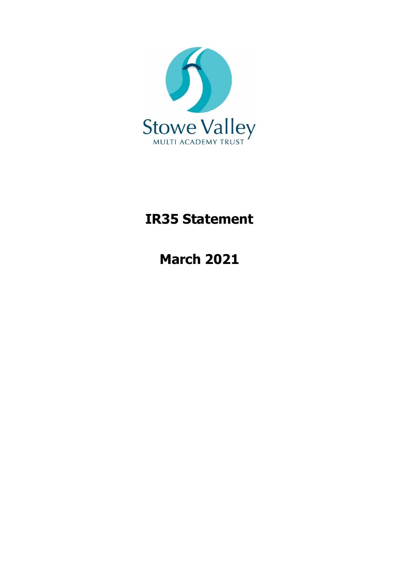

# **IR35 Statement**

**March 2021**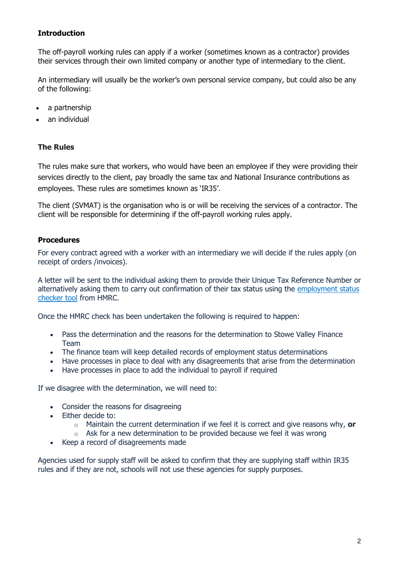## **Introduction**

The off-payroll working rules can apply if a worker (sometimes known as a contractor) provides their services through their own limited company or another type of intermediary to the client.

An intermediary will usually be the worker's own personal service company, but could also be any of the following:

- a partnership
- an individual

### **The Rules**

The rules make sure that workers, who would have been an employee if they were providing their services directly to the client, pay broadly the same tax and National Insurance contributions as employees. These rules are sometimes known as 'IR35'.

The client (SVMAT) is the organisation who is or will be receiving the services of a contractor. The client will be responsible for determining if the off-payroll working rules apply.

### **Procedures**

For every contract agreed with a worker with an intermediary we will decide if the rules apply (on receipt of orders /invoices).

A letter will be sent to the individual asking them to provide their Unique Tax Reference Number or alternatively asking them to carry out confirmation of their tax status using the employment status [checker tool](https://www.gov.uk/guidance/check-employment-status-for-tax) from HMRC.

Once the HMRC check has been undertaken the following is required to happen:

- Pass the determination and the reasons for the determination to Stowe Valley Finance Team
- The finance team will keep detailed records of employment status determinations
- Have processes in place to deal with any disagreements that arise from the determination
- Have processes in place to add the individual to payroll if required

If we disagree with the determination, we will need to:

- Consider the reasons for disagreeing
- Either decide to:
	- o Maintain the current determination if we feel it is correct and give reasons why, **or**
	- $\circ$  Ask for a new determination to be provided because we feel it was wrong
- Keep a record of disagreements made

Agencies used for supply staff will be asked to confirm that they are supplying staff within IR35 rules and if they are not, schools will not use these agencies for supply purposes.